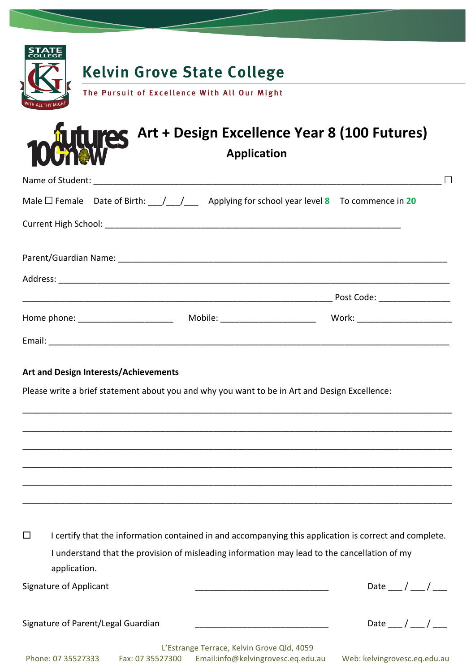|   |                                       | <b>Kelvin Grove State College</b>                                                                               |                                                                                                        |
|---|---------------------------------------|-----------------------------------------------------------------------------------------------------------------|--------------------------------------------------------------------------------------------------------|
|   |                                       | The Pursuit of Excellence With All Our Might                                                                    |                                                                                                        |
|   |                                       |                                                                                                                 |                                                                                                        |
|   |                                       |                                                                                                                 | <b>100 AMPLES</b> Art + Design Excellence Year 8 (100 Futures)                                         |
|   |                                       |                                                                                                                 |                                                                                                        |
|   |                                       |                                                                                                                 |                                                                                                        |
|   |                                       | Male $\Box$ Female Date of Birth: $\angle$ $\angle$ $\angle$ Applying for school year level 8 To commence in 20 |                                                                                                        |
|   |                                       |                                                                                                                 |                                                                                                        |
|   |                                       |                                                                                                                 |                                                                                                        |
|   |                                       |                                                                                                                 |                                                                                                        |
|   |                                       |                                                                                                                 |                                                                                                        |
|   |                                       |                                                                                                                 |                                                                                                        |
|   |                                       |                                                                                                                 |                                                                                                        |
|   |                                       |                                                                                                                 |                                                                                                        |
|   | Art and Design Interests/Achievements |                                                                                                                 |                                                                                                        |
|   |                                       | Please write a brief statement about you and why you want to be in Art and Design Excellence:                   |                                                                                                        |
|   |                                       |                                                                                                                 |                                                                                                        |
|   |                                       |                                                                                                                 |                                                                                                        |
|   |                                       |                                                                                                                 |                                                                                                        |
|   |                                       |                                                                                                                 |                                                                                                        |
|   |                                       |                                                                                                                 |                                                                                                        |
|   |                                       |                                                                                                                 |                                                                                                        |
| □ |                                       |                                                                                                                 | I certify that the information contained in and accompanying this application is correct and complete. |
|   |                                       | I understand that the provision of misleading information may lead to the cancellation of my                    |                                                                                                        |
|   | application.                          |                                                                                                                 |                                                                                                        |
|   | <b>Signature of Applicant</b>         |                                                                                                                 | Date ___ / ___ / ___                                                                                   |

Signature of Parent/Legal Guardian \_\_\_\_\_\_\_\_\_\_\_\_\_\_\_\_\_\_\_\_\_\_\_\_\_\_\_\_ Date \_\_\_ / \_\_\_ / \_\_\_

|                    | L'Estrange Terrace, Kelvin Grove Qld, 4059 |                                    |
|--------------------|--------------------------------------------|------------------------------------|
| Phone: 07 35527333 | Fax: 07 35527300                           | Email:info@kelvingrovesc.eq.edu.au |